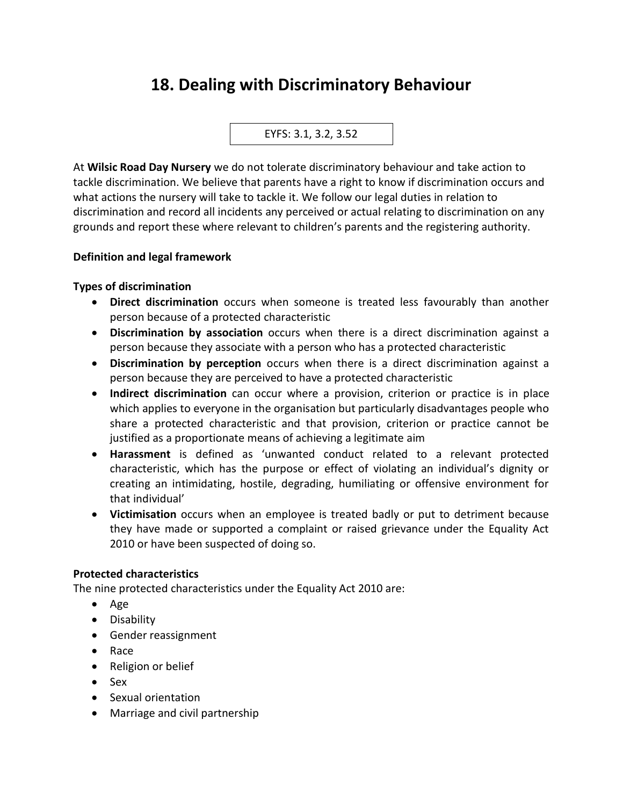# **18. Dealing with Discriminatory Behaviour**

EYFS: 3.1, 3.2, 3.52

At **Wilsic Road Day Nursery** we do not tolerate discriminatory behaviour and take action to tackle discrimination. We believe that parents have a right to know if discrimination occurs and what actions the nursery will take to tackle it. We follow our legal duties in relation to discrimination and record all incidents any perceived or actual relating to discrimination on any grounds and report these where relevant to children's parents and the registering authority.

## **Definition and legal framework**

### **Types of discrimination**

- **Direct discrimination** occurs when someone is treated less favourably than another person because of a protected characteristic
- **Discrimination by association** occurs when there is a direct discrimination against a person because they associate with a person who has a protected characteristic
- **Discrimination by perception** occurs when there is a direct discrimination against a person because they are perceived to have a protected characteristic
- **Indirect discrimination** can occur where a provision, criterion or practice is in place which applies to everyone in the organisation but particularly disadvantages people who share a protected characteristic and that provision, criterion or practice cannot be justified as a proportionate means of achieving a legitimate aim
- **Harassment** is defined as 'unwanted conduct related to a relevant protected characteristic, which has the purpose or effect of violating an individual's dignity or creating an intimidating, hostile, degrading, humiliating or offensive environment for that individual'
- **Victimisation** occurs when an employee is treated badly or put to detriment because they have made or supported a complaint or raised grievance under the Equality Act 2010 or have been suspected of doing so.

#### **Protected characteristics**

The nine protected characteristics under the Equality Act 2010 are:

- Age
- Disability
- Gender reassignment
- Race
- Religion or belief
- Sex
- Sexual orientation
- Marriage and civil partnership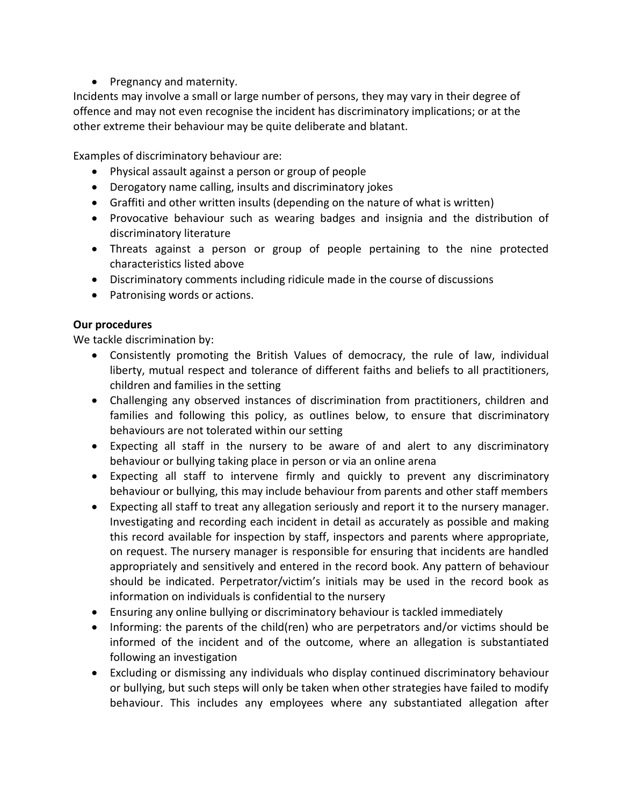• Pregnancy and maternity.

Incidents may involve a small or large number of persons, they may vary in their degree of offence and may not even recognise the incident has discriminatory implications; or at the other extreme their behaviour may be quite deliberate and blatant.

Examples of discriminatory behaviour are:

- Physical assault against a person or group of people
- Derogatory name calling, insults and discriminatory jokes
- Graffiti and other written insults (depending on the nature of what is written)
- Provocative behaviour such as wearing badges and insignia and the distribution of discriminatory literature
- Threats against a person or group of people pertaining to the nine protected characteristics listed above
- Discriminatory comments including ridicule made in the course of discussions
- Patronising words or actions.

## **Our procedures**

We tackle discrimination by:

- Consistently promoting the British Values of democracy, the rule of law, individual liberty, mutual respect and tolerance of different faiths and beliefs to all practitioners, children and families in the setting
- Challenging any observed instances of discrimination from practitioners, children and families and following this policy, as outlines below, to ensure that discriminatory behaviours are not tolerated within our setting
- Expecting all staff in the nursery to be aware of and alert to any discriminatory behaviour or bullying taking place in person or via an online arena
- Expecting all staff to intervene firmly and quickly to prevent any discriminatory behaviour or bullying, this may include behaviour from parents and other staff members
- Expecting all staff to treat any allegation seriously and report it to the nursery manager. Investigating and recording each incident in detail as accurately as possible and making this record available for inspection by staff, inspectors and parents where appropriate, on request. The nursery manager is responsible for ensuring that incidents are handled appropriately and sensitively and entered in the record book. Any pattern of behaviour should be indicated. Perpetrator/victim's initials may be used in the record book as information on individuals is confidential to the nursery
- Ensuring any online bullying or discriminatory behaviour is tackled immediately
- Informing: the parents of the child(ren) who are perpetrators and/or victims should be informed of the incident and of the outcome, where an allegation is substantiated following an investigation
- Excluding or dismissing any individuals who display continued discriminatory behaviour or bullying, but such steps will only be taken when other strategies have failed to modify behaviour. This includes any employees where any substantiated allegation after